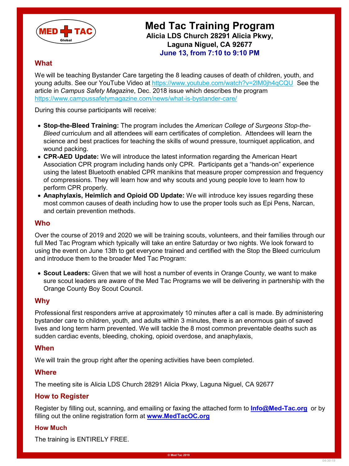

# **Med Tac Training Program Alicia LDS Church 28291 Alicia Pkwy, Laguna Niguel, CA 92677 June 13, from 7:10 to 9:10 PM**

# **What**

We will be teaching Bystander Care targeting the 8 leading causes of death of children, youth, and young adults. See our YouTube Video at<https://www.youtube.com/watch?v=2lM0jh4qCQU> See the article in *Campus Safety Magazine*, Dec. 2018 issue which describes the program <https://www.campussafetymagazine.com/news/what-is-bystander-care/>

During this course participants will receive:

- **Stop-the-Bleed Training:** The program includes the *American College of Surgeons Stop-the-Bleed* curriculum and all attendees will earn certificates of completion. Attendees will learn the science and best practices for teaching the skills of wound pressure, tourniquet application, and wound packing.
- **CPR-AED Update:** We will introduce the latest information regarding the American Heart Association CPR program including hands only CPR. Participants get a "hands-on" experience using the latest Bluetooth enabled CPR manikins that measure proper compression and frequency of compressions. They will learn how and why scouts and young people love to learn how to perform CPR properly.
- **Anaphylaxis, Heimlich and Opioid OD Update:** We will introduce key issues regarding these most common causes of death including how to use the proper tools such as Epi Pens, Narcan, and certain prevention methods.

# **Who**

Over the course of 2019 and 2020 we will be training scouts, volunteers, and their families through our full Med Tac Program which typically will take an entire Saturday or two nights. We look forward to using the event on June 13th to get everyone trained and certified with the Stop the Bleed curriculum and introduce them to the broader Med Tac Program:

• **Scout Leaders:** Given that we will host a number of events in Orange County, we want to make sure scout leaders are aware of the Med Tac Programs we will be delivering in partnership with the Orange County Boy Scout Council.

#### **Why**

Professional first responders arrive at approximately 10 minutes after a call is made. By administering bystander care to children, youth, and adults within 3 minutes, there is an enormous gain of saved lives and long term harm prevented. We will tackle the 8 most common preventable deaths such as sudden cardiac events, bleeding, choking, opioid overdose, and anaphylaxis,

### **When**

We will train the group right after the opening activities have been completed.

#### **Where**

The meeting site is Alicia LDS Church 28291 Alicia Pkwy, Laguna Niguel, CA 92677

# **How to Register**

Register by filling out, scanning, and emailing or faxing the attached form to **[Info@Med-Tac.org](mailto:Info@Med-Tac.org)** or by filling out the online registration form at **www.MedTacOC.org** 

#### **How Much**

The training is ENTIRELY FREE.